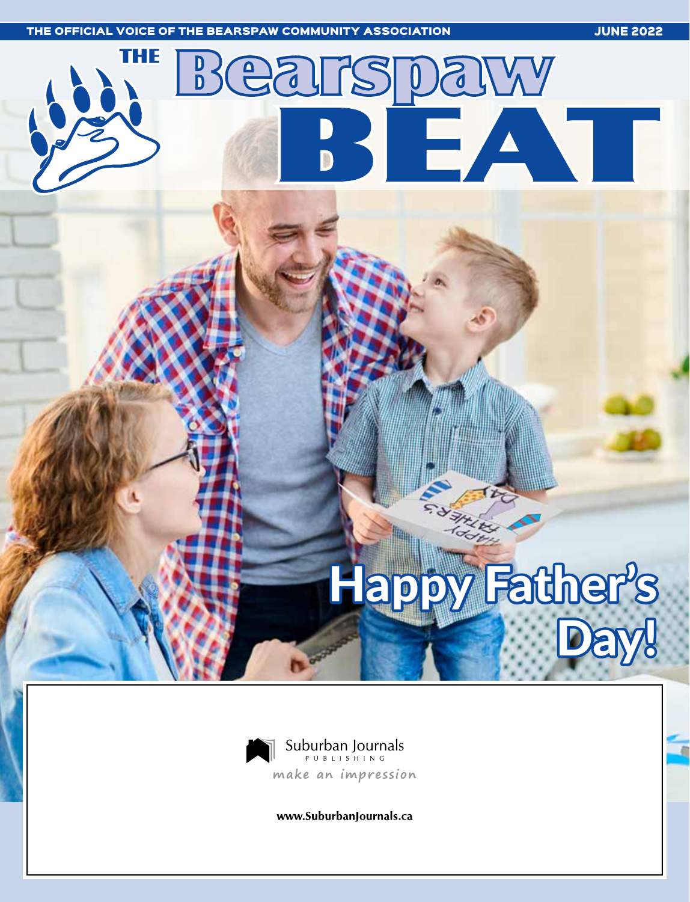



www.SuburbanJournals.ca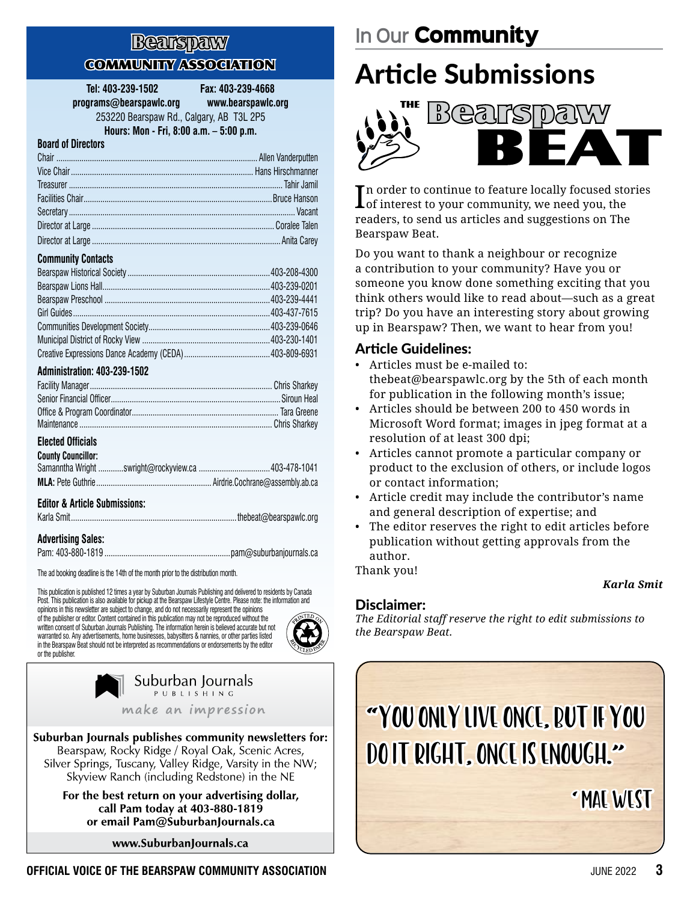#### Bearspaw **COMMUNITY ASSOCIATION**

**Tel: 403-239-1502 Fax: 403-239-4668 programs@bearspawlc.org www.bearspawlc.org**

253220 Bearspaw Rd., Calgary, AB T3L 2P5

**Hours: Mon - Fri, 8:00 a.m. – 5:00 p.m.**

#### **Board of Directors**

| <b>Community Contacts</b> |  |
|---------------------------|--|
|                           |  |
|                           |  |
|                           |  |
|                           |  |
|                           |  |
|                           |  |

#### **Administration: 403-239-1502**

Creative Expressions Dance Academy (CEDA).........................................403-809-6931

#### **Elected Officials**

| <b>County Councillor:</b> |  |
|---------------------------|--|
|                           |  |
|                           |  |

#### **Editor & Article Submissions:**

| . |  |
|---|--|

#### **Advertising Sales:**

|--|--|

The ad booking deadline is the 14th of the month prior to the distribution month.

This publication is published 12 times a year by Suburban Journals Publishing and delivered to residents by Canada Post. This publication is also available for pickup at the Bearspaw Lifestyle Centre. Please note: the information and opinions in this newsletter are subject to change, and do not necessarily represent the opinions

of the publisher or editor. Content contained in this publication may not be reproduced without the written consent of Suburban Journals Publishing. The information herein is believed accurate but not warranted so. Any advertisements, home businesses, babysitters & nannies, or other parties listed in the Bearspaw Beat should not be interpreted as recommendations or endorsements by the editor or the publisher.



Suburban Journals PUBLISHING make an impression

Suburban Journals publishes community newsletters for: Bearspaw, Rocky Ridge / Royal Oak, Scenic Acres, Silver Springs, Tuscany, Valley Ridge, Varsity in the NW; Skyview Ranch (including Redstone) in the NE

> For the best return on your advertising dollar, call Pam today at 403-880-1819 or email Pam@SuburbanJournals.ca

> > www.SuburbanJournals.ca

### **In Our** Community

# Article Submissions



In order to continue to feature locally focused sto<br>I of interest to your community, we need you, the n order to continue to feature locally focused stories readers, to send us articles and suggestions on The Bearspaw Beat.

Do you want to thank a neighbour or recognize a contribution to your community? Have you or someone you know done something exciting that you think others would like to read about—such as a great trip? Do you have an interesting story about growing up in Bearspaw? Then, we want to hear from you!

#### Article Guidelines:

- Articles must be e-mailed to: thebeat@bearspawlc.org by the 5th of each month for publication in the following month's issue;
- Articles should be between 200 to 450 words in Microsoft Word format; images in jpeg format at a resolution of at least 300 dpi;
- Articles cannot promote a particular company or product to the exclusion of others, or include logos or contact information;
- Article credit may include the contributor's name and general description of expertise; and
- The editor reserves the right to edit articles before publication without getting approvals from the author.

Thank you!

#### *Karla Smit*

#### Disclaimer:

*The Editorial staff reserve the right to edit submissions to the Bearspaw Beat.*



– Mae West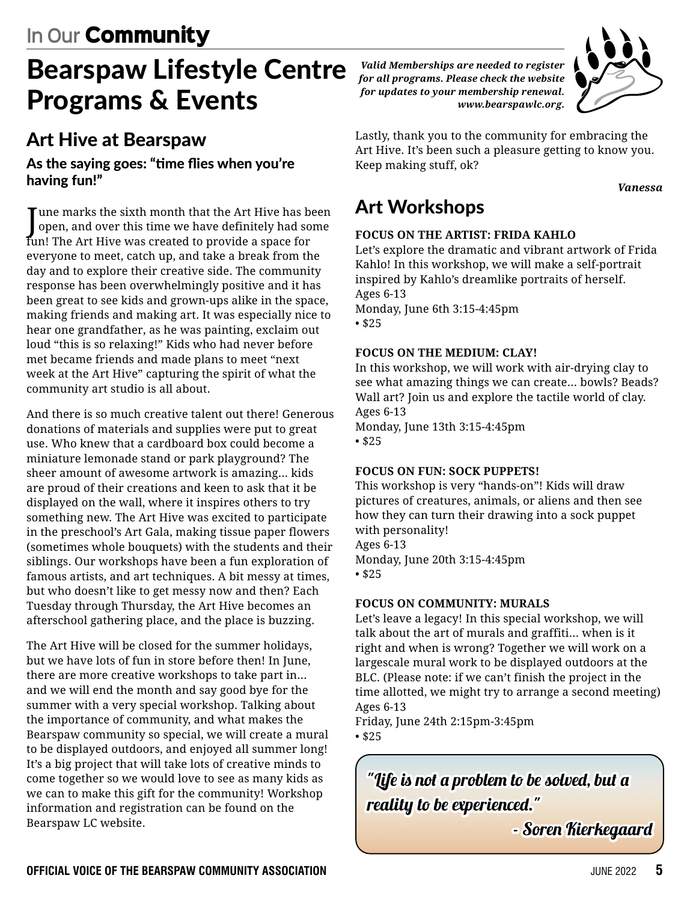# Bearspaw Lifestyle Centre Programs & Events

### Art Hive at Bearspaw

#### As the saying goes: "time flies when you're having fun!"

June marks the sixth month that the Art Hive has been<br>Jopen, and over this time we have definitely had some open, and over this time we have definitely had some fun! The Art Hive was created to provide a space for everyone to meet, catch up, and take a break from the day and to explore their creative side. The community response has been overwhelmingly positive and it has been great to see kids and grown-ups alike in the space, making friends and making art. It was especially nice to hear one grandfather, as he was painting, exclaim out loud "this is so relaxing!" Kids who had never before met became friends and made plans to meet "next week at the Art Hive" capturing the spirit of what the community art studio is all about.

And there is so much creative talent out there! Generous donations of materials and supplies were put to great use. Who knew that a cardboard box could become a miniature lemonade stand or park playground? The sheer amount of awesome artwork is amazing... kids are proud of their creations and keen to ask that it be displayed on the wall, where it inspires others to try something new. The Art Hive was excited to participate in the preschool's Art Gala, making tissue paper flowers (sometimes whole bouquets) with the students and their siblings. Our workshops have been a fun exploration of famous artists, and art techniques. A bit messy at times, but who doesn't like to get messy now and then? Each Tuesday through Thursday, the Art Hive becomes an afterschool gathering place, and the place is buzzing.

The Art Hive will be closed for the summer holidays, but we have lots of fun in store before then! In June, there are more creative workshops to take part in... and we will end the month and say good bye for the summer with a very special workshop. Talking about the importance of community, and what makes the Bearspaw community so special, we will create a mural to be displayed outdoors, and enjoyed all summer long! It's a big project that will take lots of creative minds to come together so we would love to see as many kids as we can to make this gift for the community! Workshop information and registration can be found on the Bearspaw LC website.

*Valid Memberships are needed to register for all programs. Please check the website for updates to your membership renewal. www.bearspawlc.org.* 



Lastly, thank you to the community for embracing the Art Hive. It's been such a pleasure getting to know you. Keep making stuff, ok?

#### *Vanessa*

### Art Workshops

#### **FOCUS ON THE ARTIST: FRIDA KAHLO**

Let's explore the dramatic and vibrant artwork of Frida Kahlo! In this workshop, we will make a self-portrait inspired by Kahlo's dreamlike portraits of herself. Ages 6-13 Monday, June 6th 3:15-4:45pm • \$25

#### **FOCUS ON THE MEDIUM: CLAY!**

In this workshop, we will work with air-drying clay to see what amazing things we can create... bowls? Beads? Wall art? Join us and explore the tactile world of clay. Ages 6-13 Monday, June 13th 3:15-4:45pm

• \$25

#### **FOCUS ON FUN: SOCK PUPPETS!**

This workshop is very "hands-on"! Kids will draw pictures of creatures, animals, or aliens and then see how they can turn their drawing into a sock puppet with personality! Ages 6-13 Monday, June 20th 3:15-4:45pm • \$25

#### **FOCUS ON COMMUNITY: MURALS**

Let's leave a legacy! In this special workshop, we will talk about the art of murals and graffiti... when is it right and when is wrong? Together we will work on a largescale mural work to be displayed outdoors at the BLC. (Please note: if we can't finish the project in the time allotted, we might try to arrange a second meeting) Ages 6-13

Friday, June 24th 2:15pm-3:45pm • \$25

"Life is not a problem to be solved, but a reality to be experienced."

- Soren Kierkegaard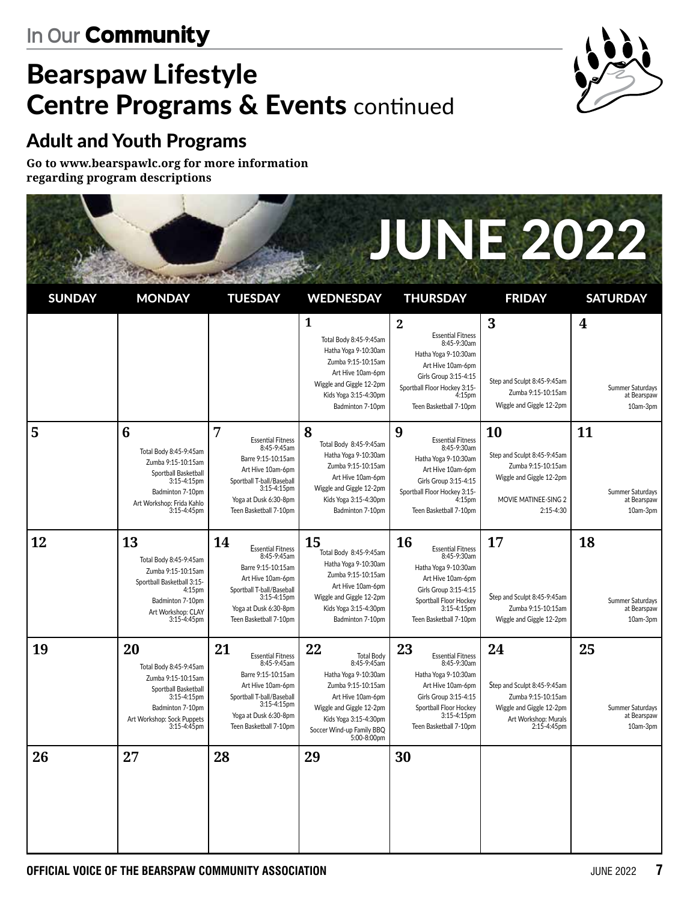# Bearspaw Lifestyle **Centre Programs & Events continued**



### Adult and Youth Programs

**Go to www.bearspawlc.org for more information regarding program descriptions**

# JUNE 2022

| <b>SUNDAY</b> | <b>MONDAY</b>                                                                                                                                              | <b>TUESDAY</b>                                                                                                                                                                             | <b>WEDNESDAY</b>                                                                                                                                                                                           | <b>THURSDAY</b>                                                                                                                                                                                     | <b>FRIDAY</b>                                                                                                              | <b>SATURDAY</b>                                   |
|---------------|------------------------------------------------------------------------------------------------------------------------------------------------------------|--------------------------------------------------------------------------------------------------------------------------------------------------------------------------------------------|------------------------------------------------------------------------------------------------------------------------------------------------------------------------------------------------------------|-----------------------------------------------------------------------------------------------------------------------------------------------------------------------------------------------------|----------------------------------------------------------------------------------------------------------------------------|---------------------------------------------------|
|               |                                                                                                                                                            |                                                                                                                                                                                            | $\mathbf{1}$<br>Total Body 8:45-9:45am<br>Hatha Yoga 9-10:30am<br>Zumba 9:15-10:15am<br>Art Hive 10am-6pm<br>Wiggle and Giggle 12-2pm<br>Kids Yoga 3:15-4:30pm<br>Badminton 7-10pm                         | $\overline{2}$<br><b>Essential Fitness</b><br>8:45-9:30am<br>Hatha Yoga 9-10:30am<br>Art Hive 10am-6pm<br>Girls Group 3:15-4:15<br>Sportball Floor Hockey 3:15-<br>4:15pm<br>Teen Basketball 7-10pm | 3<br>Step and Sculpt 8:45-9:45am<br>Zumba 9:15-10:15am<br>Wiggle and Giggle 12-2pm                                         | 4<br>Summer Saturdays<br>at Bearspaw<br>10am-3pm  |
| 5             | 6<br>Total Body 8:45-9:45am<br>Zumba 9:15-10:15am<br>Sportball Basketball<br>3:15-4:15pm<br>Badminton 7-10pm<br>Art Workshop: Frida Kahlo<br>3:15-4:45pm   | 7<br><b>Essential Fitness</b><br>8:45-9:45am<br>Barre 9:15-10:15am<br>Art Hive 10am-6pm<br>Sportball T-ball/Baseball<br>3:15-4:15pm<br>Yoga at Dusk 6:30-8pm<br>Teen Basketball 7-10pm     | 8<br>Total Body 8:45-9:45am<br>Hatha Yoga 9-10:30am<br>Zumba 9:15-10:15am<br>Art Hive 10am-6pm<br>Wiggle and Giggle 12-2pm<br>Kids Yoga 3:15-4:30pm<br>Badminton 7-10pm                                    | 9<br><b>Essential Fitness</b><br>8:45-9:30am<br>Hatha Yoga 9-10:30am<br>Art Hive 10am-6pm<br>Girls Group 3:15-4:15<br>Sportball Floor Hockey 3:15-<br>4:15pm<br>Teen Basketball 7-10pm              | 10<br>Step and Sculpt 8:45-9:45am<br>Zumba 9:15-10:15am<br>Wiggle and Giggle 12-2pm<br>MOVIE MATINEE-SING 2<br>2:15-4:30   | 11<br>Summer Saturdays<br>at Bearspaw<br>10am-3pm |
| 12            | 13<br>Total Body 8:45-9:45am<br>Zumba 9:15-10:15am<br>Sportball Basketball 3:15-<br>4:15pm<br>Badminton 7-10pm<br>Art Workshop: CLAY<br>3:15-4:45pm        | 14<br><b>Essential Fitness</b><br>8:45-9:45am<br>Barre 9:15-10:15am<br>Art Hive 10am-6pm<br>Sportball T-ball/Baseball<br>$3:15-4:15$ pm<br>Yoga at Dusk 6:30-8pm<br>Teen Basketball 7-10pm | 15<br>Total Body 8:45-9:45am<br>Hatha Yoga 9-10:30am<br>Zumba 9:15-10:15am<br>Art Hive 10am-6pm<br>Wiggle and Giggle 12-2pm<br>Kids Yoga 3:15-4:30pm<br>Badminton 7-10pm                                   | 16<br><b>Essential Fitness</b><br>8:45-9:30am<br>Hatha Yoga 9-10:30am<br>Art Hive 10am-6pm<br>Girls Group 3:15-4:15<br>Sportball Floor Hockey<br>3:15-4:15pm<br>Teen Basketball 7-10pm              | 17<br>Step and Sculpt 8:45-9:45am<br>Zumba 9:15-10:15am<br>Wiggle and Giggle 12-2pm                                        | 18<br>Summer Saturdays<br>at Bearspaw<br>10am-3pm |
| 19            | 20<br>Total Body 8:45-9:45am<br>Zumba 9:15-10:15am<br>Sportball Basketball<br>3:15-4:15pm<br>Badminton 7-10pm<br>Art Workshop: Sock Puppets<br>3:15-4:45pm | 21<br><b>Essential Fitness</b><br>8:45-9:45am<br>Barre 9:15-10:15am<br>Art Hive 10am-6pm<br>Sportball T-ball/Baseball<br>3:15-4:15pm<br>Yoga at Dusk 6:30-8pm<br>Teen Basketball 7-10pm    | 22<br><b>Total Body</b><br>8:45-9:45am<br>Hatha Yoga 9-10:30am<br>Zumba 9:15-10:15am<br>Art Hive 10am-6pm<br>Wiggle and Giggle 12-2pm<br>Kids Yoga 3:15-4:30pm<br>Soccer Wind-up Family BBQ<br>5:00-8:00pm | 23<br><b>Essential Fitness</b><br>8:45-9:30am<br>Hatha Yoga 9-10:30am<br>Art Hive 10am-6pm<br>Girls Group 3:15-4:15<br>Sportball Floor Hockey<br>3:15-4:15pm<br>Teen Basketball 7-10pm              | 24<br>Step and Sculpt 8:45-9:45am<br>Zumba 9:15-10:15am<br>Wiggle and Giggle 12-2pm<br>Art Workshop: Murals<br>2:15-4:45pm | 25<br>Summer Saturdays<br>at Bearspaw<br>10am-3pm |
| 26            | 27                                                                                                                                                         | 28                                                                                                                                                                                         | 29                                                                                                                                                                                                         | 30                                                                                                                                                                                                  |                                                                                                                            |                                                   |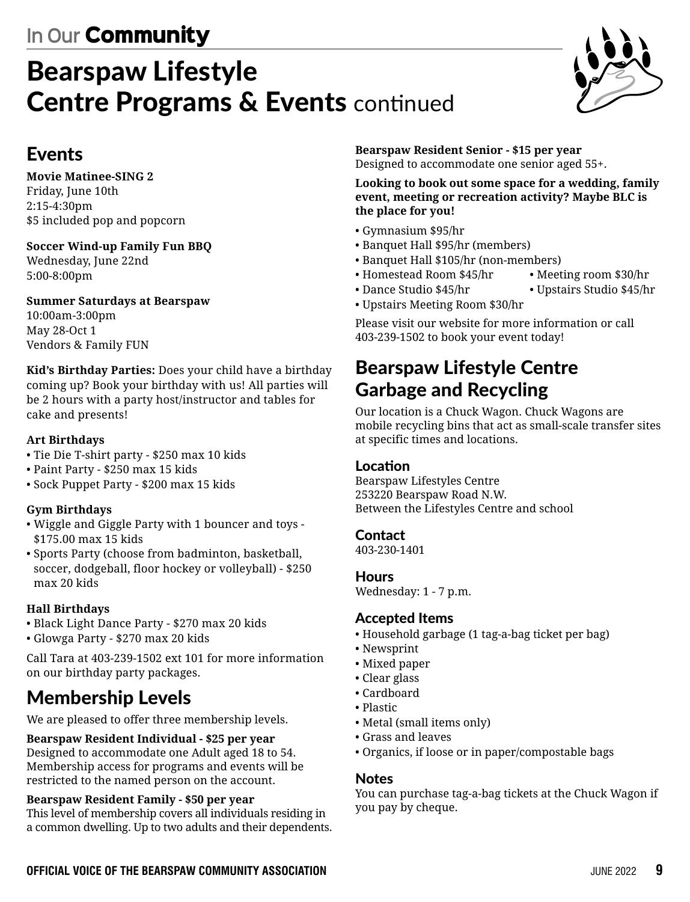# Bearspaw Lifestyle **Centre Programs & Events continued**



### Events

**Movie Matinee-SING 2** Friday, June 10th 2:15-4:30pm \$5 included pop and popcorn

#### **Soccer Wind-up Family Fun BBQ**

Wednesday, June 22nd 5:00-8:00pm

#### **Summer Saturdays at Bearspaw**

10:00am-3:00pm May 28-Oct 1 Vendors & Family FUN

**Kid's Birthday Parties:** Does your child have a birthday coming up? Book your birthday with us! All parties will be 2 hours with a party host/instructor and tables for cake and presents!

#### **Art Birthdays**

- Tie Die T-shirt party \$250 max 10 kids
- Paint Party \$250 max 15 kids
- Sock Puppet Party \$200 max 15 kids

#### **Gym Birthdays**

- Wiggle and Giggle Party with 1 bouncer and toys \$175.00 max 15 kids
- Sports Party (choose from badminton, basketball, soccer, dodgeball, floor hockey or volleyball) - \$250 max 20 kids

#### **Hall Birthdays**

• Black Light Dance Party - \$270 max 20 kids • Glowga Party - \$270 max 20 kids

Call Tara at 403-239-1502 ext 101 for more information on our birthday party packages.

### Membership Levels

We are pleased to offer three membership levels.

#### **Bearspaw Resident Individual - \$25 per year**

Designed to accommodate one Adult aged 18 to 54. Membership access for programs and events will be restricted to the named person on the account.

#### **Bearspaw Resident Family - \$50 per year**

This level of membership covers all individuals residing in a common dwelling. Up to two adults and their dependents. **Bearspaw Resident Senior - \$15 per year** Designed to accommodate one senior aged 55+.

**Looking to book out some space for a wedding, family event, meeting or recreation activity? Maybe BLC is the place for you!**

- Gymnasium \$95/hr
- Banquet Hall \$95/hr (members)
- Banquet Hall \$105/hr (non-members)
- Homestead Room \$45/hr Meeting room \$30/hr
- Dance Studio \$45/hr Upstairs Studio \$45/hr
- Upstairs Meeting Room \$30/hr

Please visit our website for more information or call 403-239-1502 to book your event today!

### Bearspaw Lifestyle Centre Garbage and Recycling

Our location is a Chuck Wagon. Chuck Wagons are mobile recycling bins that act as small-scale transfer sites at specific times and locations.

#### Location

Bearspaw Lifestyles Centre 253220 Bearspaw Road N.W. Between the Lifestyles Centre and school

#### Contact

403-230-1401

#### **Hours**

Wednesday: 1 - 7 p.m.

#### Accepted Items

- Household garbage (1 tag-a-bag ticket per bag)
- Newsprint
- Mixed paper
- Clear glass
- Cardboard
- Plastic
- Metal (small items only)
- Grass and leaves
- Organics, if loose or in paper/compostable bags

#### Notes

You can purchase tag-a-bag tickets at the Chuck Wagon if you pay by cheque.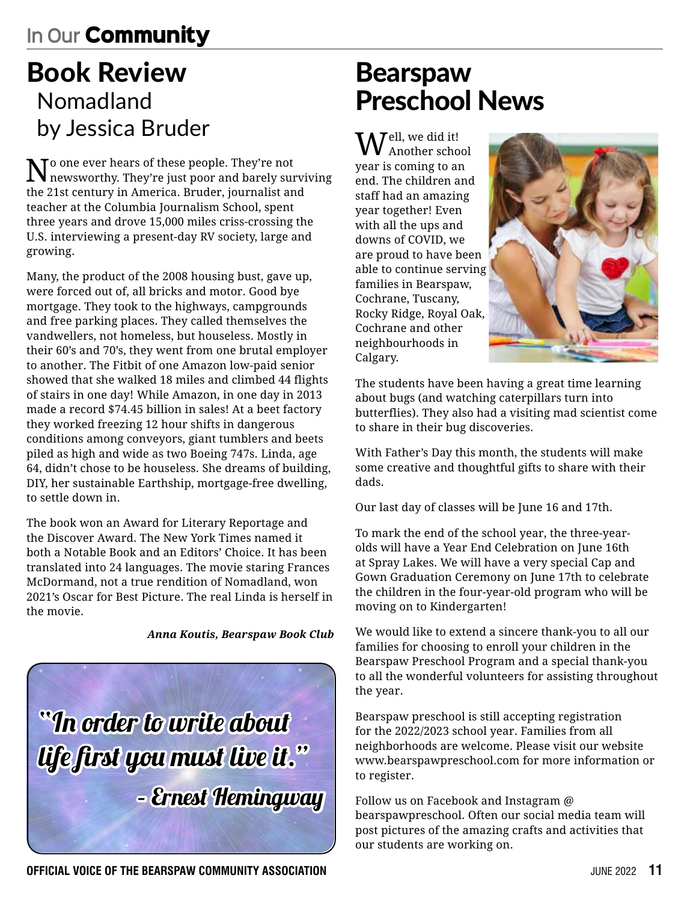# Book Review Nomadland by Jessica Bruder

 $\sum$  one ever hears of these people. They're not newsworthy. They're just poor and barely surviving the 21st century in America. Bruder, journalist and teacher at the Columbia Journalism School, spent three years and drove 15,000 miles criss-crossing the U.S. interviewing a present-day RV society, large and growing.

Many, the product of the 2008 housing bust, gave up, were forced out of, all bricks and motor. Good bye mortgage. They took to the highways, campgrounds and free parking places. They called themselves the vandwellers, not homeless, but houseless. Mostly in their 60's and 70's, they went from one brutal employer to another. The Fitbit of one Amazon low-paid senior showed that she walked 18 miles and climbed 44 flights of stairs in one day! While Amazon, in one day in 2013 made a record \$74.45 billion in sales! At a beet factory they worked freezing 12 hour shifts in dangerous conditions among conveyors, giant tumblers and beets piled as high and wide as two Boeing 747s. Linda, age 64, didn't chose to be houseless. She dreams of building, DIY, her sustainable Earthship, mortgage-free dwelling, to settle down in.

The book won an Award for Literary Reportage and the Discover Award. The New York Times named it both a Notable Book and an Editors' Choice. It has been translated into 24 languages. The movie staring Frances McDormand, not a true rendition of Nomadland, won 2021's Oscar for Best Picture. The real Linda is herself in the movie.

#### *Anna Koutis, Bearspaw Book Club*



# Bearspaw Preschool News

 $J<sup>ell</sup>$ , we did it!  $\boldsymbol{V}$  Another school year is coming to an end. The children and staff had an amazing year together! Even with all the ups and downs of COVID, we are proud to have been able to continue serving families in Bearspaw, Cochrane, Tuscany, Rocky Ridge, Royal Oak, Cochrane and other neighbourhoods in Calgary.



The students have been having a great time learning about bugs (and watching caterpillars turn into butterflies). They also had a visiting mad scientist come to share in their bug discoveries.

With Father's Day this month, the students will make some creative and thoughtful gifts to share with their dads.

Our last day of classes will be June 16 and 17th.

To mark the end of the school year, the three-yearolds will have a Year End Celebration on June 16th at Spray Lakes. We will have a very special Cap and Gown Graduation Ceremony on June 17th to celebrate the children in the four-year-old program who will be moving on to Kindergarten!

We would like to extend a sincere thank-you to all our families for choosing to enroll your children in the Bearspaw Preschool Program and a special thank-you to all the wonderful volunteers for assisting throughout the year.

Bearspaw preschool is still accepting registration for the 2022/2023 school year. Families from all neighborhoods are welcome. Please visit our website www.bearspawpreschool.com for more information or to register.

Follow us on Facebook and Instagram @ bearspawpreschool. Often our social media team will post pictures of the amazing crafts and activities that our students are working on.

**OFFICIAL VOICE OF THE BEARSPAW COMMUNITY ASSOCIATION SUBSEX 10 ACCOUNT 2022 11**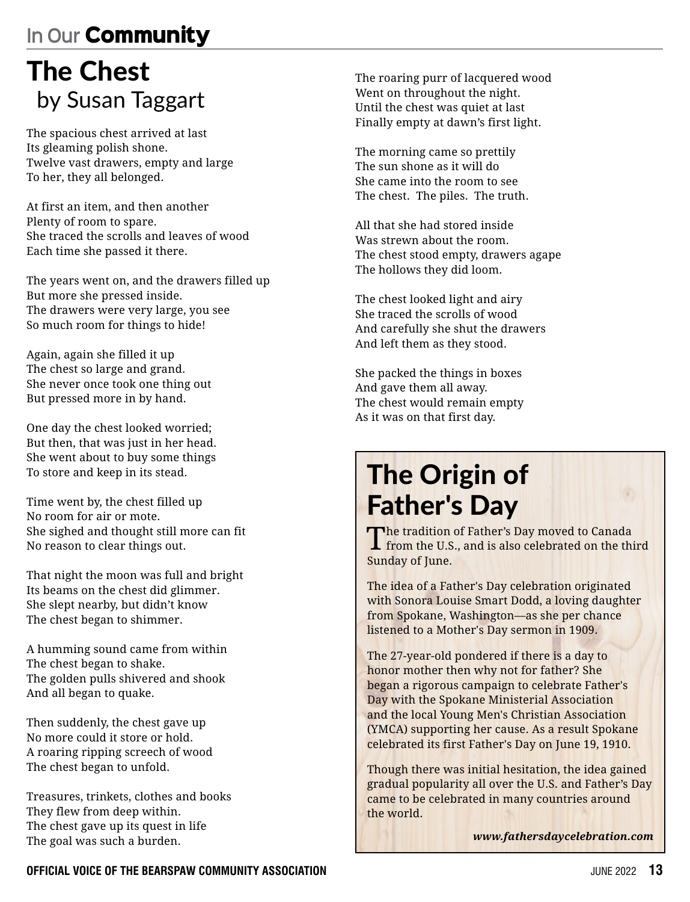# The Chest by Susan Taggart

The spacious chest arrived at last Its gleaming polish shone. Twelve vast drawers, empty and large To her, they all belonged.

At first an item, and then another Plenty of room to spare. She traced the scrolls and leaves of wood Each time she passed it there.

The years went on, and the drawers filled up But more she pressed inside. The drawers were very large, you see So much room for things to hide!

Again, again she filled it up The chest so large and grand. She never once took one thing out But pressed more in by hand.

One day the chest looked worried; But then, that was just in her head. She went about to buy some things To store and keep in its stead.

Time went by, the chest filled up No room for air or mote. She sighed and thought still more can fit No reason to clear things out.

That night the moon was full and bright Its beams on the chest did glimmer. She slept nearby, but didn't know The chest began to shimmer.

A humming sound came from within The chest began to shake. The golden pulls shivered and shook And all began to quake.

Then suddenly, the chest gave up No more could it store or hold. A roaring ripping screech of wood The chest began to unfold.

Treasures, trinkets, clothes and books They flew from deep within. The chest gave up its quest in life The goal was such a burden.

The roaring purr of lacquered wood Went on throughout the night. Until the chest was quiet at last Finally empty at dawn's first light.

The morning came so prettily The sun shone as it will do She came into the room to see The chest. The piles. The truth.

All that she had stored inside Was strewn about the room. The chest stood empty, drawers agape The hollows they did loom.

The chest looked light and airy She traced the scrolls of wood And carefully she shut the drawers And left them as they stood.

She packed the things in boxes And gave them all away. The chest would remain empty As it was on that first day.

# The Origin of Father's Day

The tradition of Father's Day moved to Canada<br>I from the U.S., and is also celebrated on the third Sunday of June.

The idea of a Father's Day celebration originated with Sonora Louise Smart Dodd, a loving daughter from Spokane, Washington—as she per chance listened to a Mother's Day sermon in 1909.

The 27-year-old pondered if there is a day to honor mother then why not for father? She began a rigorous campaign to celebrate Father's Day with the Spokane Ministerial Association and the local Young Men's Christian Association (YMCA) supporting her cause. As a result Spokane celebrated its first Father's Day on June 19, 1910.

Though there was initial hesitation, the idea gained gradual popularity all over the U.S. and Father's Day came to be celebrated in many countries around the world.

*www.fathersdaycelebration.com*